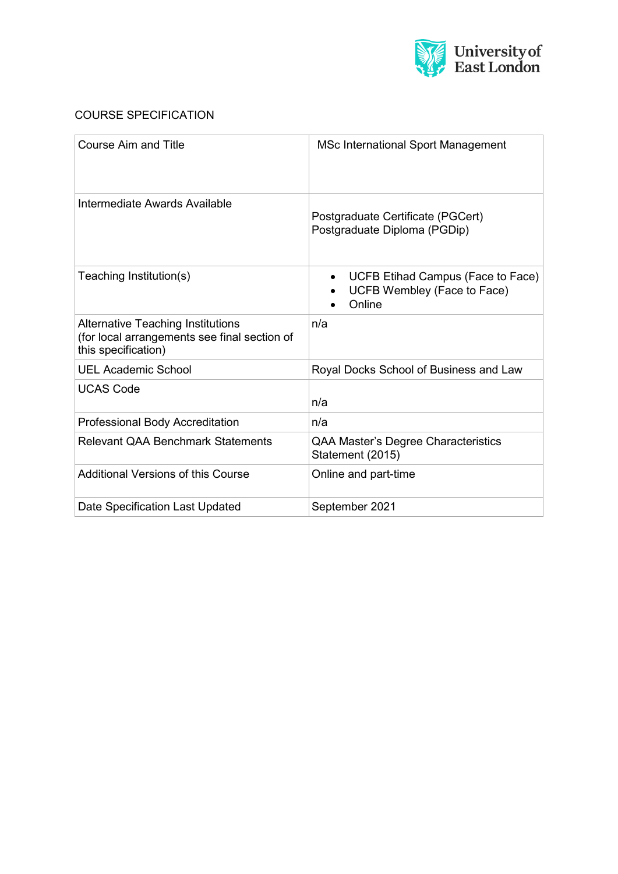

# COURSE SPECIFICATION

| <b>Course Aim and Title</b>                                                                                     | <b>MSc International Sport Management</b>                                  |
|-----------------------------------------------------------------------------------------------------------------|----------------------------------------------------------------------------|
| Intermediate Awards Available                                                                                   | Postgraduate Certificate (PGCert)<br>Postgraduate Diploma (PGDip)          |
| Teaching Institution(s)                                                                                         | UCFB Etihad Campus (Face to Face)<br>UCFB Wembley (Face to Face)<br>Online |
| <b>Alternative Teaching Institutions</b><br>(for local arrangements see final section of<br>this specification) | n/a                                                                        |
| <b>UEL Academic School</b>                                                                                      | Royal Docks School of Business and Law                                     |
| <b>UCAS Code</b>                                                                                                | n/a                                                                        |
| <b>Professional Body Accreditation</b>                                                                          | n/a                                                                        |
| <b>Relevant QAA Benchmark Statements</b>                                                                        | QAA Master's Degree Characteristics<br>Statement (2015)                    |
| Additional Versions of this Course                                                                              | Online and part-time                                                       |
| Date Specification Last Updated                                                                                 | September 2021                                                             |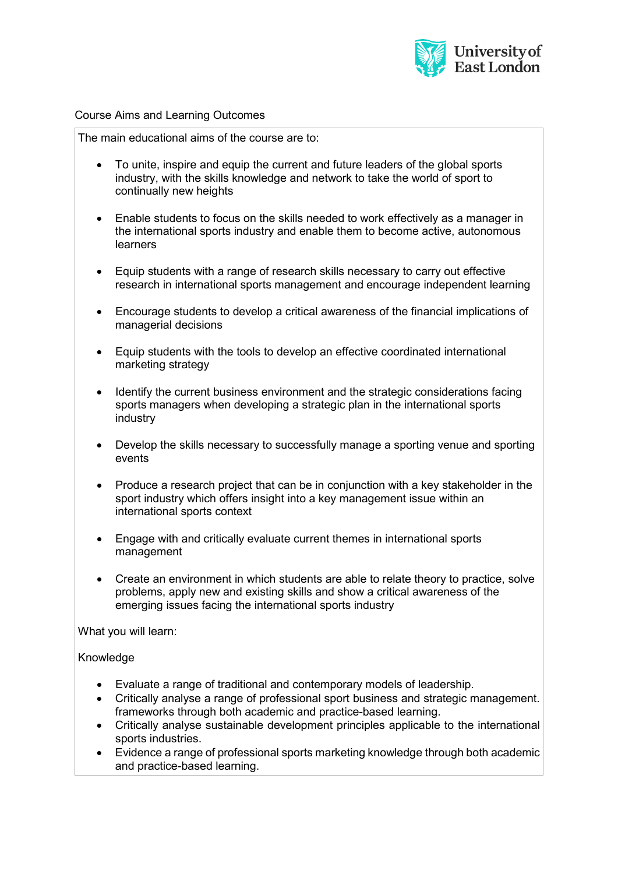

#### Course Aims and Learning Outcomes

The main educational aims of the course are to:

- To unite, inspire and equip the current and future leaders of the global sports industry, with the skills knowledge and network to take the world of sport to continually new heights
- Enable students to focus on the skills needed to work effectively as a manager in the international sports industry and enable them to become active, autonomous learners
- Equip students with a range of research skills necessary to carry out effective research in international sports management and encourage independent learning
- Encourage students to develop a critical awareness of the financial implications of managerial decisions
- Equip students with the tools to develop an effective coordinated international marketing strategy
- Identify the current business environment and the strategic considerations facing sports managers when developing a strategic plan in the international sports industry
- Develop the skills necessary to successfully manage a sporting venue and sporting events
- Produce a research project that can be in conjunction with a key stakeholder in the sport industry which offers insight into a key management issue within an international sports context
- Engage with and critically evaluate current themes in international sports management
- Create an environment in which students are able to relate theory to practice, solve problems, apply new and existing skills and show a critical awareness of the emerging issues facing the international sports industry

What you will learn:

## Knowledge

- Evaluate a range of traditional and contemporary models of leadership.
- Critically analyse a range of professional sport business and strategic management. frameworks through both academic and practice-based learning.
- Critically analyse sustainable development principles applicable to the international sports industries.
- Evidence a range of professional sports marketing knowledge through both academic and practice-based learning.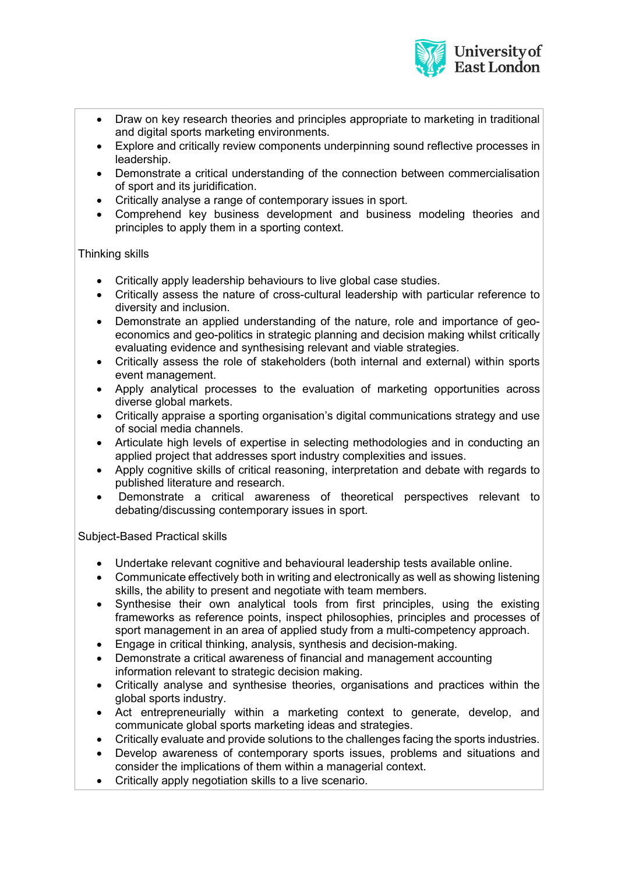

- Draw on kev research theories and principles appropriate to marketing in traditional and digital sports marketing environments.
- Explore and critically review components underpinning sound reflective processes in leadership.
- Demonstrate a critical understanding of the connection between commercialisation of sport and its juridification.
- Critically analyse a range of contemporary issues in sport.
- Comprehend key business development and business modeling theories and principles to apply them in a sporting context.

# Thinking skills

- Critically apply leadership behaviours to live global case studies.
- Critically assess the nature of cross-cultural leadership with particular reference to diversity and inclusion.
- Demonstrate an applied understanding of the nature, role and importance of geoeconomics and geo-politics in strategic planning and decision making whilst critically evaluating evidence and synthesising relevant and viable strategies.
- Critically assess the role of stakeholders (both internal and external) within sports event management.
- Apply analytical processes to the evaluation of marketing opportunities across diverse global markets.
- Critically appraise a sporting organisation's digital communications strategy and use of social media channels.
- Articulate high levels of expertise in selecting methodologies and in conducting an applied project that addresses sport industry complexities and issues.
- Apply cognitive skills of critical reasoning, interpretation and debate with regards to published literature and research.
- Demonstrate a critical awareness of theoretical perspectives relevant to debating/discussing contemporary issues in sport.

## Subject-Based Practical skills

- Undertake relevant cognitive and behavioural leadership tests available online.
- Communicate effectively both in writing and electronically as well as showing listening skills, the ability to present and negotiate with team members.
- Synthesise their own analytical tools from first principles, using the existing frameworks as reference points, inspect philosophies, principles and processes of sport management in an area of applied study from a multi-competency approach.
- Engage in critical thinking, analysis, synthesis and decision-making.
- Demonstrate a critical awareness of financial and management accounting information relevant to strategic decision making.
- Critically analyse and synthesise theories, organisations and practices within the global sports industry.
- Act entrepreneurially within a marketing context to generate, develop, and communicate global sports marketing ideas and strategies.
- Critically evaluate and provide solutions to the challenges facing the sports industries.
- Develop awareness of contemporary sports issues, problems and situations and consider the implications of them within a managerial context.
- Critically apply negotiation skills to a live scenario.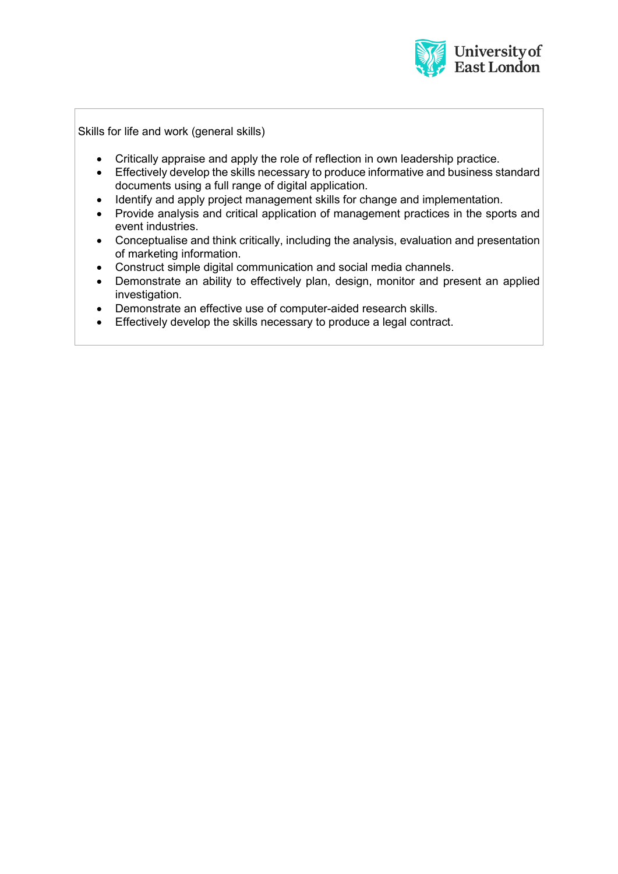

Skills for life and work (general skills)

- Critically appraise and apply the role of reflection in own leadership practice.
- Effectively develop the skills necessary to produce informative and business standard documents using a full range of digital application.
- Identify and apply project management skills for change and implementation.
- Provide analysis and critical application of management practices in the sports and event industries.
- Conceptualise and think critically, including the analysis, evaluation and presentation of marketing information.
- Construct simple digital communication and social media channels.
- Demonstrate an ability to effectively plan, design, monitor and present an applied investigation.
- Demonstrate an effective use of computer-aided research skills.
- Effectively develop the skills necessary to produce a legal contract.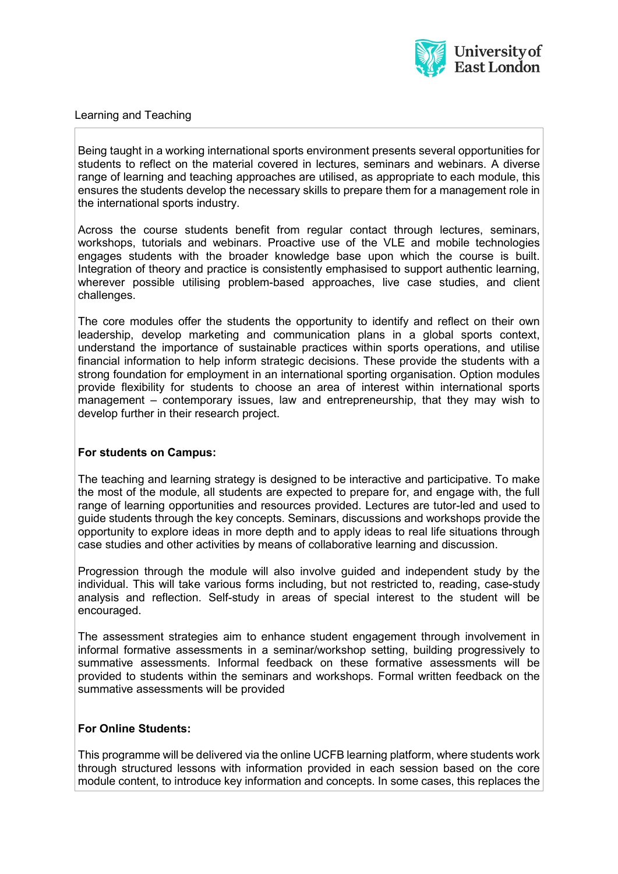

### Learning and Teaching

Being taught in a working international sports environment presents several opportunities for students to reflect on the material covered in lectures, seminars and webinars. A diverse range of learning and teaching approaches are utilised, as appropriate to each module, this ensures the students develop the necessary skills to prepare them for a management role in the international sports industry.

Across the course students benefit from regular contact through lectures, seminars, workshops, tutorials and webinars. Proactive use of the VLE and mobile technologies engages students with the broader knowledge base upon which the course is built. Integration of theory and practice is consistently emphasised to support authentic learning, wherever possible utilising problem-based approaches, live case studies, and client challenges.

The core modules offer the students the opportunity to identify and reflect on their own leadership, develop marketing and communication plans in a global sports context, understand the importance of sustainable practices within sports operations, and utilise financial information to help inform strategic decisions. These provide the students with a strong foundation for employment in an international sporting organisation. Option modules provide flexibility for students to choose an area of interest within international sports management – contemporary issues, law and entrepreneurship, that they may wish to develop further in their research project.

## **For students on Campus:**

The teaching and learning strategy is designed to be interactive and participative. To make the most of the module, all students are expected to prepare for, and engage with, the full range of learning opportunities and resources provided. Lectures are tutor-led and used to guide students through the key concepts. Seminars, discussions and workshops provide the opportunity to explore ideas in more depth and to apply ideas to real life situations through case studies and other activities by means of collaborative learning and discussion.

Progression through the module will also involve guided and independent study by the individual. This will take various forms including, but not restricted to, reading, case-study analysis and reflection. Self-study in areas of special interest to the student will be encouraged.

The assessment strategies aim to enhance student engagement through involvement in informal formative assessments in a seminar/workshop setting, building progressively to summative assessments. Informal feedback on these formative assessments will be provided to students within the seminars and workshops. Formal written feedback on the summative assessments will be provided

## **For Online Students:**

This programme will be delivered via the online UCFB learning platform, where students work through structured lessons with information provided in each session based on the core module content, to introduce key information and concepts. In some cases, this replaces the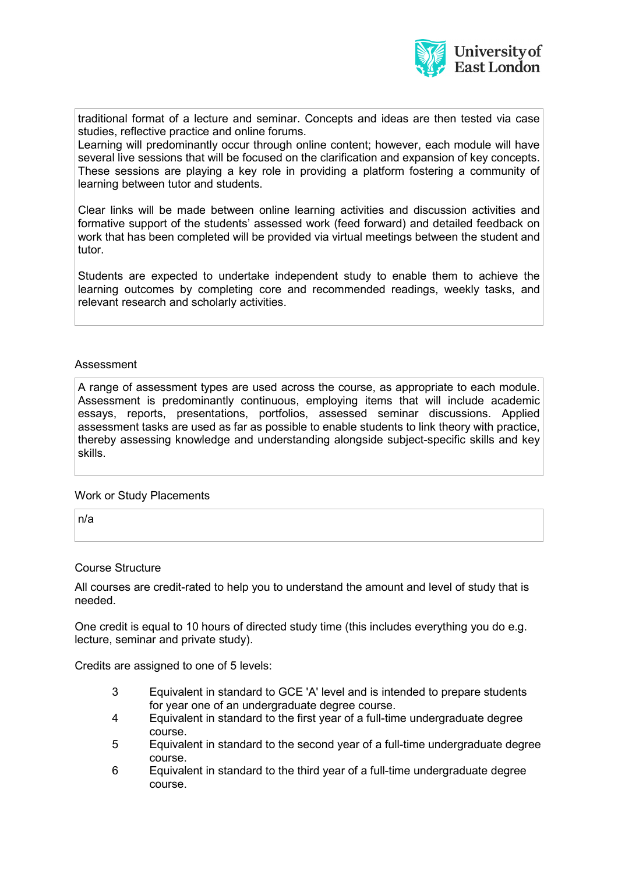

traditional format of a lecture and seminar. Concepts and ideas are then tested via case studies, reflective practice and online forums.

Learning will predominantly occur through online content; however, each module will have several live sessions that will be focused on the clarification and expansion of key concepts. These sessions are playing a key role in providing a platform fostering a community of learning between tutor and students.

Clear links will be made between online learning activities and discussion activities and formative support of the students' assessed work (feed forward) and detailed feedback on work that has been completed will be provided via virtual meetings between the student and tutor.

Students are expected to undertake independent study to enable them to achieve the learning outcomes by completing core and recommended readings, weekly tasks, and relevant research and scholarly activities.

#### Assessment

A range of assessment types are used across the course, as appropriate to each module. Assessment is predominantly continuous, employing items that will include academic essays, reports, presentations, portfolios, assessed seminar discussions. Applied assessment tasks are used as far as possible to enable students to link theory with practice, thereby assessing knowledge and understanding alongside subject-specific skills and key skills.

#### Work or Study Placements

n/a

#### Course Structure

All courses are credit-rated to help you to understand the amount and level of study that is needed.

One credit is equal to 10 hours of directed study time (this includes everything you do e.g. lecture, seminar and private study).

Credits are assigned to one of 5 levels:

- 3 Equivalent in standard to GCE 'A' level and is intended to prepare students for year one of an undergraduate degree course.
- 4 Equivalent in standard to the first year of a full-time undergraduate degree course.
- 5 Equivalent in standard to the second year of a full-time undergraduate degree course.
- 6 Equivalent in standard to the third year of a full-time undergraduate degree course.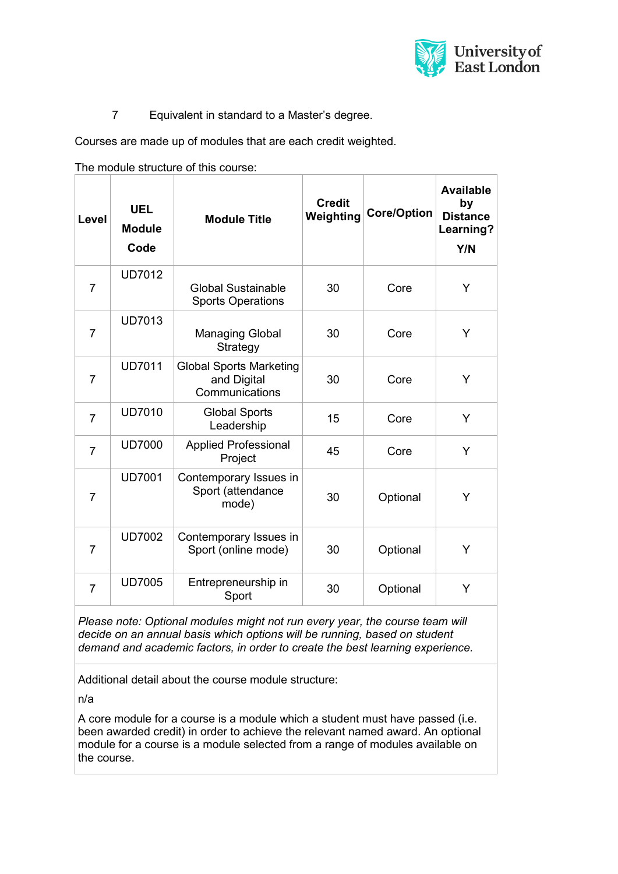

7 Equivalent in standard to a Master's degree.

Courses are made up of modules that are each credit weighted.

The module structure of this course:

| Level          | <b>UEL</b><br><b>Module</b><br>Code | <b>Module Title</b>                                             | <b>Credit</b><br>Weighting | <b>Core/Option</b> | <b>Available</b><br>by<br><b>Distance</b><br>Learning?<br>Y/N |
|----------------|-------------------------------------|-----------------------------------------------------------------|----------------------------|--------------------|---------------------------------------------------------------|
| 7              | <b>UD7012</b>                       | <b>Global Sustainable</b><br><b>Sports Operations</b>           | 30                         | Core               | Y                                                             |
| $\overline{7}$ | <b>UD7013</b>                       | <b>Managing Global</b><br>Strategy                              | 30                         | Core               | Y                                                             |
| $\overline{7}$ | <b>UD7011</b>                       | <b>Global Sports Marketing</b><br>and Digital<br>Communications | 30                         | Core               | Y                                                             |
| $\overline{7}$ | <b>UD7010</b>                       | <b>Global Sports</b><br>Leadership                              | 15                         | Core               | Y                                                             |
| $\overline{7}$ | <b>UD7000</b>                       | <b>Applied Professional</b><br>Project                          | 45                         | Core               | Y                                                             |
| $\overline{7}$ | <b>UD7001</b>                       | Contemporary Issues in<br>Sport (attendance<br>mode)            | 30                         | Optional           | Y                                                             |
| $\overline{7}$ | <b>UD7002</b>                       | Contemporary Issues in<br>Sport (online mode)                   | 30                         | Optional           | Y                                                             |
| $\overline{7}$ | <b>UD7005</b>                       | Entrepreneurship in<br>Sport                                    | 30                         | Optional           | Y                                                             |

*Please note: Optional modules might not run every year, the course team will decide on an annual basis which options will be running, based on student demand and academic factors, in order to create the best learning experience.*

Additional detail about the course module structure:

n/a

A core module for a course is a module which a student must have passed (i.e. been awarded credit) in order to achieve the relevant named award. An optional module for a course is a module selected from a range of modules available on the course.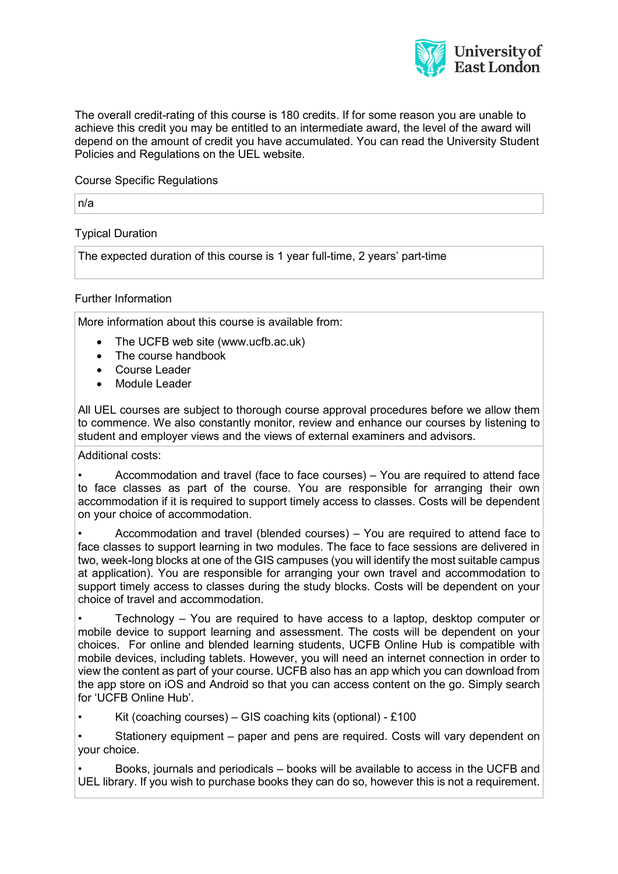

The overall credit-rating of this course is 180 credits. If for some reason you are unable to achieve this credit you may be entitled to an intermediate award, the level of the award will depend on the amount of credit you have accumulated. You can read the University Student Policies and Regulations on the UEL website.

Course Specific Regulations

n/a

Typical Duration

The expected duration of this course is 1 year full-time, 2 years' part-time

### Further Information

More information about this course is available from:

- The UCFB web site (www.ucfb.ac.uk)
- The course handbook
- Course Leader
- Module Leader

All UEL courses are subject to thorough course approval procedures before we allow them to commence. We also constantly monitor, review and enhance our courses by listening to student and employer views and the views of external examiners and advisors.

Additional costs:

• Accommodation and travel (face to face courses) – You are required to attend face to face classes as part of the course. You are responsible for arranging their own accommodation if it is required to support timely access to classes. Costs will be dependent on your choice of accommodation.

• Accommodation and travel (blended courses) – You are required to attend face to face classes to support learning in two modules. The face to face sessions are delivered in two, week-long blocks at one of the GIS campuses (you will identify the most suitable campus at application). You are responsible for arranging your own travel and accommodation to support timely access to classes during the study blocks. Costs will be dependent on your choice of travel and accommodation.

• Technology – You are required to have access to a laptop, desktop computer or mobile device to support learning and assessment. The costs will be dependent on your choices. For online and blended learning students, UCFB Online Hub is compatible with mobile devices, including tablets. However, you will need an internet connection in order to view the content as part of your course. UCFB also has an app which you can download from the app store on iOS and Android so that you can access content on the go. Simply search for 'UCFB Online Hub'.

Kit (coaching courses) – GIS coaching kits (optional) - £100

Stationery equipment – paper and pens are required. Costs will vary dependent on your choice.

• Books, journals and periodicals – books will be available to access in the UCFB and UEL library. If you wish to purchase books they can do so, however this is not a requirement.